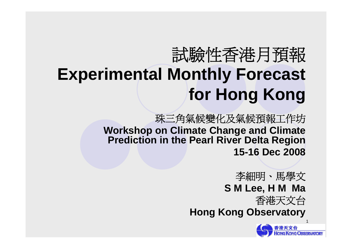# 試驗性香港月預報 **Experimental Monthly Forecast for Hong Kong**

珠三角氣候變化及氣候預報工作坊 **Workshop on Climate Change and Climate Prediction in the Pearl River Delta Region 15-16 Dec 2008**

> 李細明、馬學文 **S M Lee, H M Ma**

香港天文台

**Hong Kong Observatory**

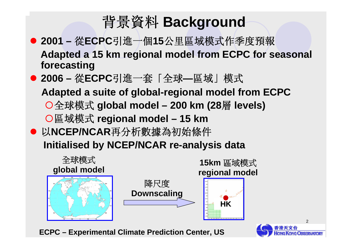## 背景資料 **Background**

- 2001 從ECPC引進一個15公里區域模式作季度預報 **Adapted a 15 km regional model from ECPC for seasonal forecasting**
- 2006 從ECPC引進一套「全球—區域」模式

**Adapted a suite of global-regional model from ECPC**

- {全球模式 **global model – 200 km (28**層 **levels)**
- {區域模式 **regional model – 15 km**
- 以NCEP/NCAR再分析數據為初始條件 **Initialised by NCEP/NCAR re-analysis data**



**ECPC – Experimental Climate Prediction Center, US**

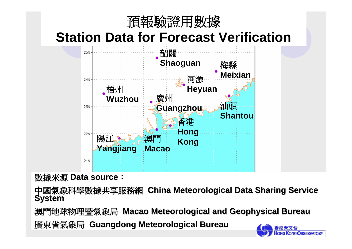

### **Station Data for Forecast Verification**



**數據來源 Data source:** 

中國氣象科學數據共享服務網 China Meteorological Data Sharing Service **System**

澳門地球物理暨氣象局 **Macao Meteorological and Geophysical Bureau Macao Meteorological and Geophysical Bureau** 

廣東省氣象局 **Guangdong Meteorological Bureau Guangdong Meteorological Bureau**

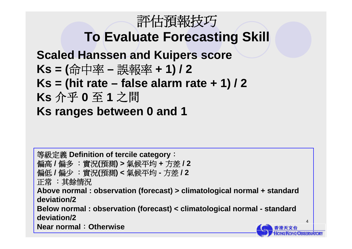## 評估預報技巧

## **To Evaluate Forecasting Skill**

**Scaled Hanssen and Kuipers score**

- **Ks = (**命中率 **–** 誤報率 **+ 1) / 2**
- $Ks = (hit rate false alarm rate + 1)/2$
- **Ks** 介乎 **0** 至 **1** 之間
- **Ks ranges between 0 and 1**

等級定義 **Definition of tercile category**: 偏高 **/** 偏多 :實況**(**預測**) >** 氣候平均 **<sup>+</sup>**方差 **/ 2** 偏低 **/** 偏少 :實況**(**預測**) <** 氣候平均 **-** 方差 **/ 2** 正常 :其餘情況 **Above normal : observation (forecast) > climatological normal + standard deviation/2Below normal : observation (forecast) < climatological normal - standard deviation/2Near normal**:**Otherwise**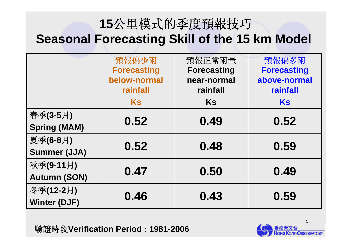### **15**公里模式的季度預報技巧 **Seasonal Forecasting Skill of the 15 km Model**

|                     | 預報偏少雨<br><b>Forecasting</b> | 預報正常雨量<br><b>Forecasting</b> | 預報偏多雨<br><b>Forecasting</b> |  |
|---------------------|-----------------------------|------------------------------|-----------------------------|--|
|                     | below-normal<br>rainfall    | near-normal<br>rainfall      | above-normal<br>rainfall    |  |
|                     | <b>Ks</b>                   | <b>Ks</b>                    | Ks                          |  |
| 春季(3-5月)            | 0.52                        | 0.49                         | 0.52                        |  |
| <b>Spring (MAM)</b> |                             |                              |                             |  |
| 夏季(6-8月)            | 0.52                        | 0.48                         | 0.59                        |  |
| <b>Summer (JJA)</b> |                             |                              |                             |  |
| 秋季(9-11月)           | 0.47                        | 0.50                         | 0.49                        |  |
| <b>Autumn (SON)</b> |                             |                              |                             |  |
| 冬季(12-2月)           | 0.46                        | 0.43                         | 0.59                        |  |
| <b>Winter (DJF)</b> |                             |                              |                             |  |

驗證時段**Verification Period : 1981-2006**

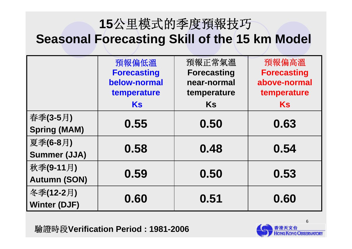## **15**公里模式的季度預報技巧 **Seasonal Forecasting Skill of the 15 km Model**

|                     | 預報偏低溫              | 預報正常氣溫             | 預報偏高溫              |  |
|---------------------|--------------------|--------------------|--------------------|--|
|                     | <b>Forecasting</b> | <b>Forecasting</b> | <b>Forecasting</b> |  |
|                     | below-normal       | near-normal        | above-normal       |  |
|                     | temperature        | temperature        | temperature        |  |
|                     | Ks                 | <b>Ks</b>          | Ks                 |  |
| 春季(3-5月)            | 0.55               | 0.50               | 0.63               |  |
| <b>Spring (MAM)</b> |                    |                    |                    |  |
| 夏季(6-8月)            | 0.58               | 0.48               | 0.54               |  |
| <b>Summer (JJA)</b> |                    |                    |                    |  |
| 秋季(9-11月)           | 0.59               | 0.50               | 0.53               |  |
| <b>Autumn (SON)</b> |                    |                    |                    |  |
| 冬季(12-2月)           | 0.60               | 0.51               |                    |  |
| <b>Winter (DJF)</b> |                    |                    | 0.60               |  |

驗證時段**Verification Period : 1981-2006**

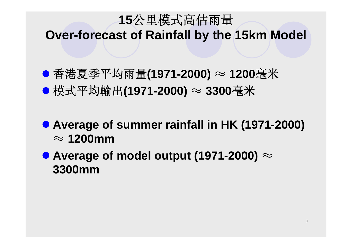## **15**公里模式高估雨量 **Over-forecast of Rainfall by the 15km Model**

- z 香港夏季平均雨量**(1971-2000)** <sup>≈</sup> **1200**毫米
- z 模式平均輸出**(1971-2000)** <sup>≈</sup> **<sup>3300</sup>**毫米
- **Average of summer rainfall in HK (1971-2000)** ≈ **1200mm**
- Average of model output (1971-2000)  $\approx$ **3300mm**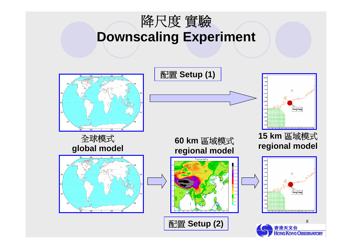

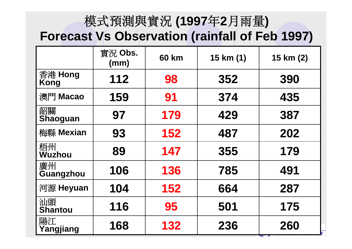## 模式預測與實況 **(1997**年**2**月雨量**)**

### **Forecast Vs Observation (rainfall of Feb 1997)**

|                       | 實況 Obs.<br>(mm) | <b>60 km</b> | 15 km (1) | 15 km (2) |
|-----------------------|-----------------|--------------|-----------|-----------|
| 香港 Hong<br>Kong       | 112             | 98           | 352       | 390       |
| 澳門 Macao              | 159             | 91           | 374       | 435       |
| 韶關<br><b>Shaoguan</b> | 97              | 179          | 429       | 387       |
| 梅縣 Mexian             | 93              | 152          | 487       | 202       |
| 梧州<br>Wuzhou          | 89              | 147          | 355       | 179       |
| 廣州<br>Guangzhou       | 106             | 136          | 785       | 491       |
| 河源 Heyuan             | 104             | 152          | 664       | 287       |
| 汕頭<br><b>Shantou</b>  | 116             | 95           | 501       | 175       |
| 陽江<br>Yangjiang       | 168             | 132          | 236       | 260       |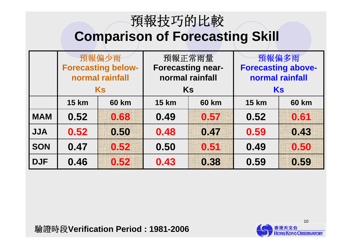## 預報技巧的比較 **Comparison of Forecasting Skill**

|            |                                              | 預報偏少雨        | 預報正常雨量                                      |              | 預報偏多雨                                        |              |
|------------|----------------------------------------------|--------------|---------------------------------------------|--------------|----------------------------------------------|--------------|
|            | <b>Forecasting below-</b><br>normal rainfall |              | <b>Forecasting near-</b><br>normal rainfall |              | <b>Forecasting above-</b><br>normal rainfall |              |
|            |                                              | Ks           | Ks                                          |              | Ks                                           |              |
|            | <b>15 km</b>                                 | <b>60 km</b> | <b>15 km</b>                                | <b>60 km</b> | <b>15 km</b>                                 | <b>60 km</b> |
| <b>MAM</b> | 0.52                                         | 0.68         | 0.49                                        | 0.57         | 0.52                                         | 0.61         |
| <b>JJA</b> | 0.52                                         | 0.50         | 0.48                                        | 0.47         | 0.59                                         | 0.43         |
| <b>SON</b> | 0.47                                         | 0.52         | 0.50                                        | 0.51         | 0.49                                         | 0.50         |
| <b>DJF</b> | 0.46                                         | 0.52         | 0.43                                        | 0.38         | 0.59                                         | 0.59         |

驗證時段**Verification Period : 1981-2006**

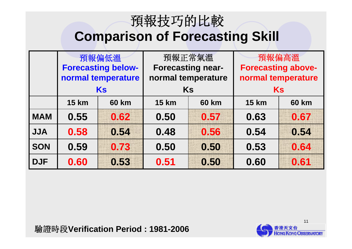## 預報技巧的比較 **Comparison of Forecasting Skill**

|            | 預報偏低溫                     |                    | 預報正常氣溫                       |      | 預報偏高溫                     |              |
|------------|---------------------------|--------------------|------------------------------|------|---------------------------|--------------|
|            | <b>Forecasting below-</b> |                    | <b>Forecasting near-</b>     |      | <b>Forecasting above-</b> |              |
|            |                           | normal temperature | normal temperature           |      | normal temperature        |              |
|            |                           | Ks                 | <b>Ks</b>                    |      | Ks                        |              |
|            | <b>15 km</b>              | <b>60 km</b>       | <b>15 km</b><br><b>60 km</b> |      | <b>15 km</b>              | <b>60 km</b> |
| <b>MAM</b> | 0.55                      | 0.62               | 0.50                         | 0.57 | 0.63                      | 0.67         |
| <b>JJA</b> | 0.58                      | 0.54               | 0.48                         | 0.56 | 0.54                      | 0.54         |
| <b>SON</b> | 0.59                      | 0.73               | 0.50                         | 0.50 | 0.53                      | 0.64         |
| <b>DJF</b> | 0.60                      | 0.53               | 0.51                         | 0.50 | 0.60                      | 0.61         |

驗證時段**Verification Period : 1981-2006**

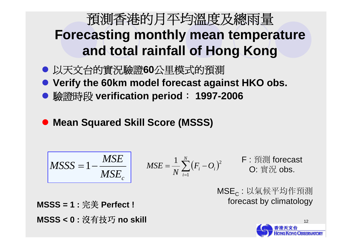## 預測香港的月平均溫度及總雨量 **Forecasting monthly mean temperature and total rainfall of Hong Kong**

- z 以天文台的實況驗證**60**公里模式的預測
- **Verify the 60km model forecast against HKO obs.**
- 驗證時段 verification period: 1997-2006
- $\bullet$ **Mean Squared Skill Score (MSSS)**

$$
\begin{vmatrix} MSSS = 1 - \frac{MSE}{MSE_c} & MSE = \frac{1}{N} \sum_{i=1}^{N} (F_i - O_i)^2 & \text{F} : \text{F} \text{ in } \text{S} \text{ is } \\ 0. \text{F} \text{ in } \text{S} \text{ is } \text{F} \text{ in } \text{S} \text{ is } \text{F} \text{ in } \text{S} \text{ is } \text{F} \text{ in } \text{S} \text{ is } \text{F} \text{ in } \text{S} \text{ is } \text{F} \text{ in } \text{S} \text{ is } \text{F} \text{ in } \text{S} \text{ is } \text{F} \text{ in } \text{S} \text{ is } \text{F} \text{ in } \text{S} \text{ is } \text{F} \text{ in } \text{S} \text{ is } \text{F} \text{ in } \text{S} \text{ is } \text{F} \text{ in } \text{S} \text{ is } \text{F} \text{ in } \text{S} \text{ is } \text{F} \text{ in } \text{S} \text{ is } \text{F} \text{ in } \text{S} \text{ is } \text{F} \text{ in } \text{S} \text{ is } \text{F} \text{ in } \text{S} \text{ is } \text{F} \text{ in } \text{S} \text{ is } \text{F} \text{ in } \text{S} \text{ is } \text{F} \text{ in } \text{S} \text{ is } \text{F} \text{ in } \text{S} \text{ is } \text{F} \text{ in } \text{S} \text{ is } \text{F} \text{ in } \text{S} \text{ is } \text{F} \text{ in } \text{S} \text{ is } \text{F} \text{ in } \text{S} \text{ is } \text{F} \text{ in } \text{S} \text{ is } \text{F} \text{ in } \text{S} \text{ is } \text{F} \text{ in } \text{S} \text{ is } \text{F} \text{ in } \text{S} \text{ is } \text{F} \text{ in } \text{S} \text{ is } \text{F} \text{ in } \text{S} \text{ is } \text{F} \text{ in } \text{S} \text{ is } \text{F} \text{ in } \text{S} \text{ is } \text{F} \text{ in } \text{S} \text{ is
$$

MSE<sub>c</sub> : 以氣候平均作預測 forecast by climatology forecast by climatology **MSSS = 1 : MSSS = 1 :** 完美 **Perfect ! Perfect !**

**MSSS < 0 : MSSS < 0 :** 沒有技巧 **no skill no skill**

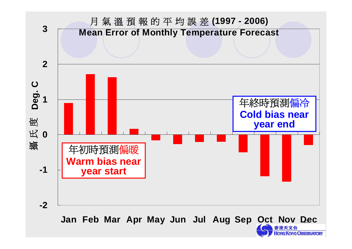

13 **Jan Feb Mar Apr May Jun Jul Aug Sep Oct Nov Dec**

**G KONG OBSERVATORY**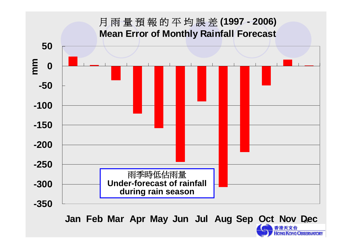

14 **Jan Feb Mar Apr May Jun Jul Aug Sep Oct Nov Dec**

**HONG KONG OBSERVATORY**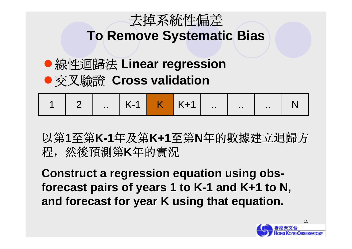

## **To Remove Systematic Bias**

## ●線性迴歸法 Linear regression ● 交叉驗證 Cross validation

|  |  |  |  |  |  |  |  | 1 2 . K-1 K K+1 N |  |
|--|--|--|--|--|--|--|--|-------------------|--|
|--|--|--|--|--|--|--|--|-------------------|--|

以第1至第K-1年及第K+1至第N年的數據建立迴歸方 程,然後預測 第 **K**年的實況

**Construct a regression equation using Construct a regression equation using obs**  forecast pairs of years 1 to K-1 and K+1 to N, **and forecast for year K using that equation. and forecast for year K using that equation.**

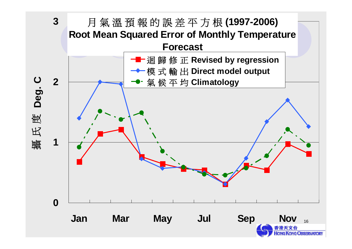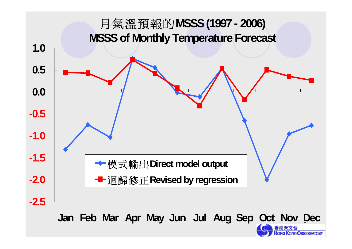

17**Jan Feb Mar Apr May Jun Jul Aug Sep Oct Nov Dec**

**NG OBSERVATORY**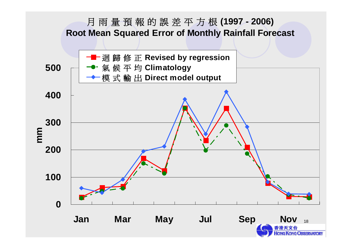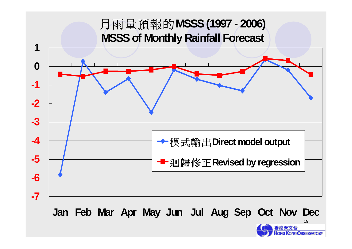![](_page_18_Figure_0.jpeg)

**Jan Feb Mar Apr May Jun Jul Aug Sep Oct Nov Dec**

![](_page_18_Picture_2.jpeg)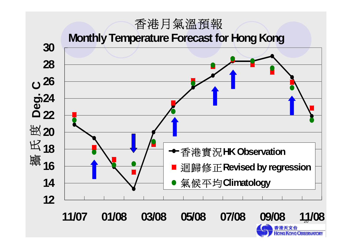#### 香港月氣溫預報

**Monthly Temperature Forecast for Hong Kong**

![](_page_19_Figure_2.jpeg)

 $20 -$ 

**KONG OBSERVATORY**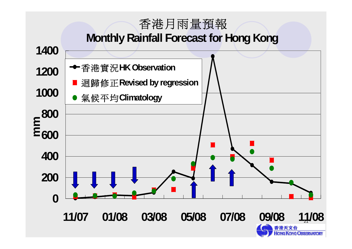#### 香港月雨量預報

#### **Monthly Rainfall Forecast for Hong Kong**

![](_page_20_Figure_2.jpeg)

**CONG OBSERVATORY**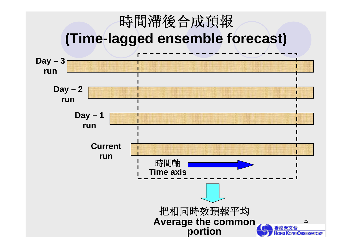![](_page_21_Figure_0.jpeg)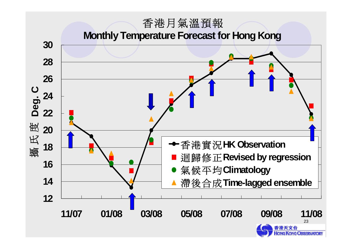#### 香港月氣溫預報

**Monthly Temperature Forecast for Hong Kong**

![](_page_22_Figure_2.jpeg)

**IONG KONG OBSERVATORY**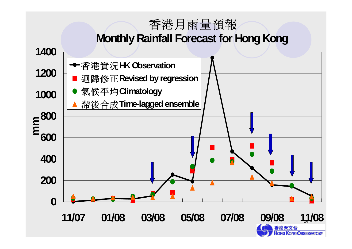### 香港月雨量預報 **Monthly Rainfall Forecast for Hong Kong**

![](_page_23_Figure_1.jpeg)

**KONG OBSERVATORY**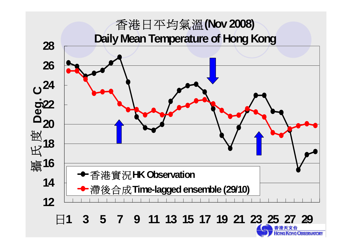![](_page_24_Figure_0.jpeg)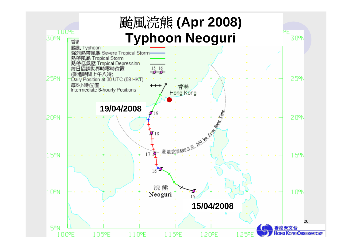![](_page_25_Figure_0.jpeg)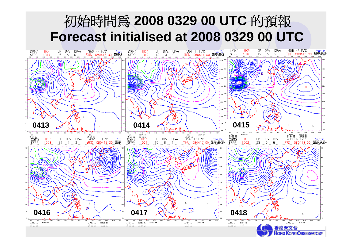## 初始時間為 **2008 0329 00 UTC** 的預報 **Forecast initialised at 2008 0329 00 UTC**

![](_page_26_Figure_1.jpeg)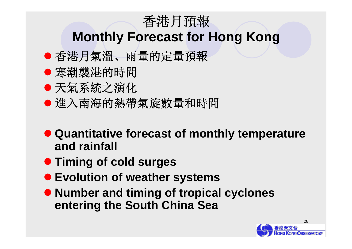## 香港月預報

## **Monthly Forecast for Hong Kong**

- z 香港月氣溫、雨量的定量預報
- 寒潮襲港的時間
- 天氣系統之演化
- 進入南海的熱帶氣旋數量和時間
- **Quantitative forecast of monthly temperature and rainfall**
- **Timing of cold surges**
- **Evolution of weather systems**
- **Number and timing of tropical cyclones entering the South China Sea**

![](_page_27_Picture_10.jpeg)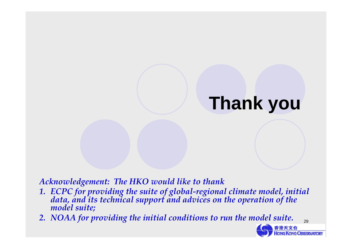# **Thank you**

*Acknowledgement: The HKO would like to thank*

- 1. ECPC for providing the suite of global-regional climate model, initial<br>data, and its technical support and advices on the operation of the<br>model suite;
- *2. NOAA for providing the initial conditions to run the model suite.*

![](_page_28_Picture_4.jpeg)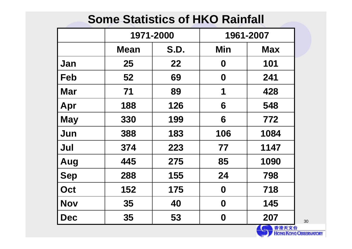### **Some Statistics of HKO Rainfall**

|            | 1971-2000   |             |                  | 1961-2007  |
|------------|-------------|-------------|------------------|------------|
|            | <b>Mean</b> | <b>S.D.</b> | Min              | <b>Max</b> |
| Jan        | 25          | 22          | 0                | 101        |
| Feb        | 52          | 69          | $\boldsymbol{0}$ | 241        |
| Mar        | 71          | 89          | 1                | 428        |
| Apr        | 188         | 126         | 6                | 548        |
| <b>May</b> | 330         | 199         | 6                | 772        |
| Jun        | 388         | 183         | 106              | 1084       |
| Jul        | 374         | 223         | 77               | 1147       |
| Aug        | 445         | 275         | 85               | 1090       |
| <b>Sep</b> | 288         | 155         | 24               | 798        |
| Oct        | 152         | 175         | 0                | 718        |
| <b>Nov</b> | 35          | 40          | $\boldsymbol{0}$ | 145        |
| <b>Dec</b> | 35          | 53          | $\boldsymbol{0}$ | 207        |

**HONG KONG OBSERVATORY**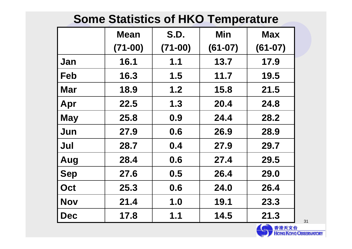### **Some Statistics of HKO Temperature**

|            | <b>Mean</b> | <b>S.D.</b> | Min       | <b>Max</b> |
|------------|-------------|-------------|-----------|------------|
|            | $(71-00)$   | $(71-00)$   | $(61-07)$ | $(61-07)$  |
| Jan        | 16.1        | 1.1         | 13.7      | 17.9       |
| Feb        | 16.3        | 1.5         | 11.7      | 19.5       |
| Mar        | 18.9        | 1.2         | 15.8      | 21.5       |
| Apr        | 22.5        | 1.3         | 20.4      | 24.8       |
| <b>May</b> | 25.8        | 0.9         | 24.4      | 28.2       |
| Jun        | 27.9        | 0.6         | 26.9      | 28.9       |
| Jul        | 28.7        | 0.4         | 27.9      | 29.7       |
| Aug        | 28.4        | 0.6         | 27.4      | 29.5       |
| <b>Sep</b> | 27.6        | 0.5         | 26.4      | 29.0       |
| Oct        | 25.3        | 0.6         | 24.0      | 26.4       |
| <b>Nov</b> | 21.4        | 1.0         | 19.1      | 23.3       |
| <b>Dec</b> | 17.8        | 1.1         | 14.5      | 21.3       |

![](_page_30_Picture_2.jpeg)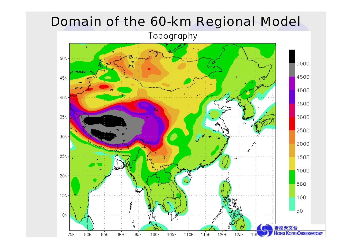## Domain of the 60-km Regional Model

Topography

![](_page_31_Figure_2.jpeg)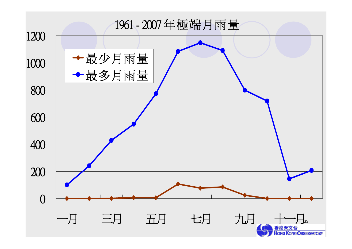![](_page_32_Figure_0.jpeg)